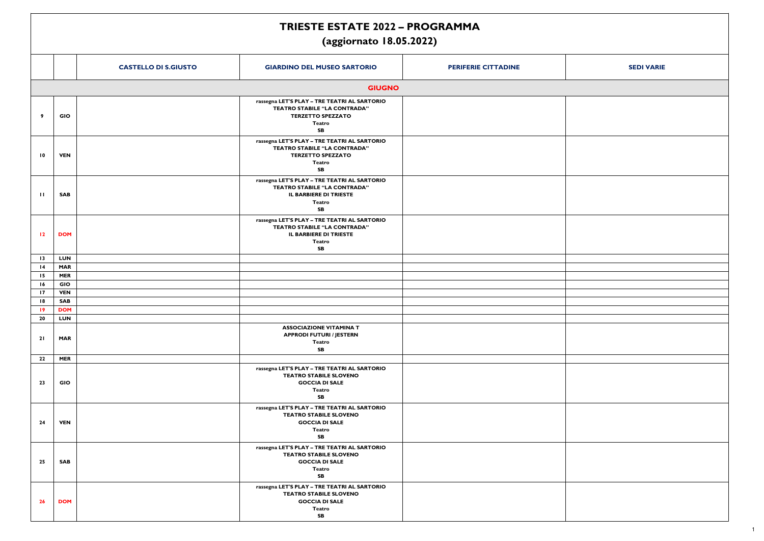|                 |                             | <b>TRIESTE ESTATE 2022 - PROGRAMMA</b><br>(aggiornato 18.05.2022)                                                                             |                            |                   |
|-----------------|-----------------------------|-----------------------------------------------------------------------------------------------------------------------------------------------|----------------------------|-------------------|
|                 | <b>CASTELLO DI S.GIUSTO</b> | <b>GIARDINO DEL MUSEO SARTORIO</b>                                                                                                            | <b>PERIFERIE CITTADINE</b> | <b>SEDI VARIE</b> |
|                 |                             | <b>GIUGNO</b>                                                                                                                                 |                            |                   |
| 9               | GIO                         | rassegna LET'S PLAY - TRE TEATRI AL SARTORIO<br><b>TEATRO STABILE "LA CONTRADA"</b><br><b>TERZETTO SPEZZATO</b><br><b>Teatro</b><br><b>SB</b> |                            |                   |
| $\overline{10}$ | <b>VEN</b>                  | rassegna LET'S PLAY - TRE TEATRI AL SARTORIO<br><b>TEATRO STABILE "LA CONTRADA"</b><br><b>TERZETTO SPEZZATO</b><br><b>Teatro</b><br><b>SB</b> |                            |                   |
| $\mathbf{H}$    | SAB                         | rassegna LET'S PLAY - TRE TEATRI AL SARTORIO<br><b>TEATRO STABILE "LA CONTRADA"</b><br>IL BARBIERE DI TRIESTE<br><b>Teatro</b><br><b>SB</b>   |                            |                   |
| $\overline{12}$ | <b>DOM</b>                  | rassegna LET'S PLAY - TRE TEATRI AL SARTORIO<br><b>TEATRO STABILE "LA CONTRADA"</b><br>IL BARBIERE DI TRIESTE<br><b>Teatro</b><br><b>SB</b>   |                            |                   |
| $\overline{13}$ | LUN                         |                                                                                                                                               |                            |                   |
| $\overline{14}$ | <b>MAR</b>                  |                                                                                                                                               |                            |                   |
| 15              | <b>MER</b>                  |                                                                                                                                               |                            |                   |
| 16              | GIO                         |                                                                                                                                               |                            |                   |
| 17              | <b>VEN</b>                  |                                                                                                                                               |                            |                   |
| 18              | <b>SAB</b>                  |                                                                                                                                               |                            |                   |
| $\overline{19}$ | <b>DOM</b>                  |                                                                                                                                               |                            |                   |
| 20              | <b>LUN</b>                  |                                                                                                                                               |                            |                   |
| 21              | <b>MAR</b>                  | <b>ASSOCIAZIONE VITAMINA T</b><br><b>APPRODI FUTURI / JESTERN</b><br><b>Teatro</b><br><b>SB</b>                                               |                            |                   |
| 22              | <b>MER</b>                  |                                                                                                                                               |                            |                   |
| 23              | GIO                         | rassegna LET'S PLAY - TRE TEATRI AL SARTORIO<br><b>TEATRO STABILE SLOVENO</b><br><b>GOCCIA DI SALE</b><br><b>Teatro</b><br><b>SB</b>          |                            |                   |
| 24              | <b>VEN</b>                  | rassegna LET'S PLAY - TRE TEATRI AL SARTORIO<br><b>TEATRO STABILE SLOVENO</b><br><b>GOCCIA DI SALE</b><br><b>Teatro</b><br><b>SB</b>          |                            |                   |
| 25              | SAB                         | rassegna LET'S PLAY - TRE TEATRI AL SARTORIO<br><b>TEATRO STABILE SLOVENO</b><br><b>GOCCIA DI SALE</b><br><b>Teatro</b><br><b>SB</b>          |                            |                   |
| 26              | <b>DOM</b>                  | rassegna LET'S PLAY - TRE TEATRI AL SARTORIO<br><b>TEATRO STABILE SLOVENO</b><br><b>GOCCIA DI SALE</b><br><b>Teatro</b><br><b>SB</b>          |                            |                   |

| <b>SEDI VARIE</b> |
|-------------------|
|                   |
|                   |
|                   |
|                   |
|                   |
|                   |
|                   |
|                   |
|                   |
|                   |
|                   |
|                   |
|                   |
|                   |
|                   |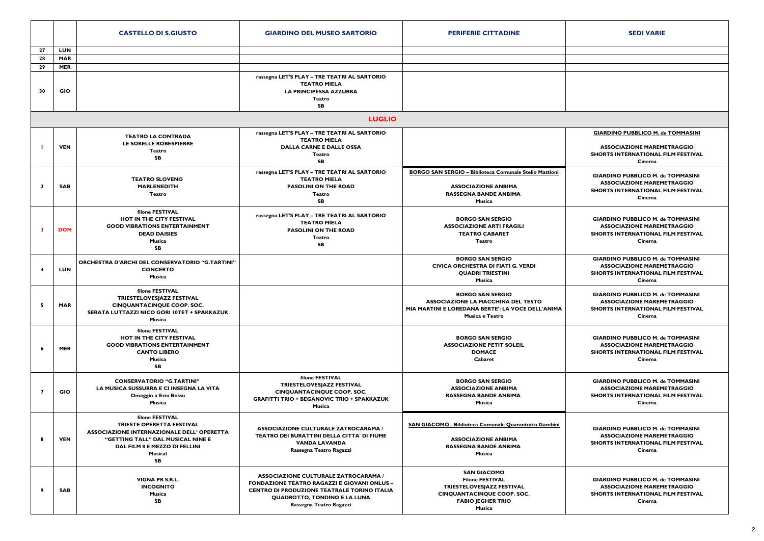|                |            | <b>CASTELLO DI S.GIUSTO</b>                                                                                                                                                                     | <b>GIARDINO DEL MUSEO SARTORIO</b>                                                                                                                                                                                        | <b>PERIFERIE CITTADINE</b>                                                                                                                           | <b>SEDI VARIE</b>                                                                                                                    |
|----------------|------------|-------------------------------------------------------------------------------------------------------------------------------------------------------------------------------------------------|---------------------------------------------------------------------------------------------------------------------------------------------------------------------------------------------------------------------------|------------------------------------------------------------------------------------------------------------------------------------------------------|--------------------------------------------------------------------------------------------------------------------------------------|
| 27             | <b>LUN</b> |                                                                                                                                                                                                 |                                                                                                                                                                                                                           |                                                                                                                                                      |                                                                                                                                      |
| 28             | <b>MAR</b> |                                                                                                                                                                                                 |                                                                                                                                                                                                                           |                                                                                                                                                      |                                                                                                                                      |
| 29             | <b>MER</b> |                                                                                                                                                                                                 |                                                                                                                                                                                                                           |                                                                                                                                                      |                                                                                                                                      |
| 30             | <b>GIO</b> |                                                                                                                                                                                                 | rassegna LET'S PLAY - TRE TEATRI AL SARTORIO<br><b>TEATRO MIELA</b><br><b>LA PRINCIPESSA AZZURRA</b><br>Teatro<br><b>SB</b>                                                                                               |                                                                                                                                                      |                                                                                                                                      |
|                |            |                                                                                                                                                                                                 | <b>LUGLIO</b>                                                                                                                                                                                                             |                                                                                                                                                      |                                                                                                                                      |
|                |            |                                                                                                                                                                                                 | rassegna LET'S PLAY - TRE TEATRI AL SARTORIO                                                                                                                                                                              |                                                                                                                                                      | <b>GIARDINO PUBBLICO M. de TOMMASINI</b>                                                                                             |
|                | <b>VEN</b> | <b>TEATRO LA CONTRADA</b><br>LE SORELLE ROBESPIERRE<br>Teatro<br><b>SB</b>                                                                                                                      | <b>TEATRO MIELA</b><br><b>DALLA CARNE E DALLE OSSA</b><br>Teatro                                                                                                                                                          |                                                                                                                                                      | <b>ASSOCIAZIONE MAREMETRAGGIO</b><br><b>SHORTS INTERNATIONAL FILM FESTIVAL</b>                                                       |
|                |            |                                                                                                                                                                                                 | <b>SB</b>                                                                                                                                                                                                                 |                                                                                                                                                      | Cinema                                                                                                                               |
| $\overline{2}$ | <b>SAB</b> | <b>TEATRO SLOVENO</b><br><b>MARLENEDITH</b><br>Teatro                                                                                                                                           | rassegna LET'S PLAY - TRE TEATRI AL SARTORIO<br><b>TEATRO MIELA</b><br><b>PASOLINI ON THE ROAD</b><br>Teatro<br>SB                                                                                                        | BORGO SAN SERGIO - Biblioteca Comunale Stelio Mattioni<br><b>ASSOCIAZIONE ANBIMA</b><br><b>RASSEGNA BANDE ANBIMA</b><br>Musica                       | <b>GIARDINO PUBBLICO M. de TOMMASINI</b><br><b>ASSOCIAZIONE MAREMETRAGGIO</b><br>SHORTS INTERNATIONAL FILM FESTIVAL<br>Cinema        |
| -3             | <b>DOM</b> | filone FESTIVAL<br>HOT IN THE CITY FESTIVAL<br><b>GOOD VIBRATIONS ENTERTAINMENT</b><br><b>DEAD DAISIES</b><br>Musica<br><b>SB</b>                                                               | rassegna LET'S PLAY - TRE TEATRI AL SARTORIO<br><b>TEATRO MIELA</b><br><b>PASOLINI ON THE ROAD</b><br>Teatro<br>SB                                                                                                        | <b>BORGO SAN SERGIO</b><br><b>ASSOCIAZIONE ARTI FRAGILI</b><br><b>TEATRO CABARET</b><br><b>Teatro</b>                                                | <b>GIARDINO PUBBLICO M. de TOMMASINI</b><br><b>ASSOCIAZIONE MAREMETRAGGIO</b><br><b>SHORTS INTERNATIONAL FILM FESTIVAL</b><br>Cinema |
|                | <b>LUN</b> | ORCHESTRA D'ARCHI DEL CONSERVATORIO "G.TARTINI"<br><b>CONCERTO</b><br>Musica                                                                                                                    |                                                                                                                                                                                                                           | <b>BORGO SAN SERGIO</b><br><b>CIVICA ORCHESTRA DI FIATI G. VERDI</b><br><b>QUADRI TRIESTINI</b><br>Musica                                            | <b>GIARDINO PUBBLICO M. de TOMMASINI</b><br><b>ASSOCIAZIONE MAREMETRAGGIO</b><br><b>SHORTS INTERNATIONAL FILM FESTIVAL</b><br>Cinema |
|                | <b>MAR</b> | filone FESTIVAL<br>TRIESTELOVESJAZZ FESTIVAL<br><b>CINQUANTACINQUE COOP. SOC.</b><br>SERATA LUTTAZZI NICO GORI 10TET + SPAKKAZUK<br>Musica                                                      |                                                                                                                                                                                                                           | <b>BORGO SAN SERGIO</b><br><b>ASSOCIAZIONE LA MACCHINA DEL TESTO</b><br>MIA MARTINI E LOREDANA BERTE': LA VOCE DELL'ANIMA<br>Musica e Teatro         | <b>GIARDINO PUBBLICO M. de TOMMASINI</b><br><b>ASSOCIAZIONE MAREMETRAGGIO</b><br><b>SHORTS INTERNATIONAL FILM FESTIVAL</b><br>Cinema |
|                | <b>MER</b> | filone FESTIVAL<br><b>HOT IN THE CITY FESTIVAL</b><br><b>GOOD VIBRATIONS ENTERTAINMENT</b><br><b>CANTO LIBERO</b><br>Musica<br><b>SB</b>                                                        |                                                                                                                                                                                                                           | <b>BORGO SAN SERGIO</b><br><b>ASSOCIAZIONE PETIT SOLEIL</b><br><b>DOMACE</b><br>Cabaret                                                              | <b>GIARDINO PUBBLICO M. de TOMMASINI</b><br><b>ASSOCIAZIONE MAREMETRAGGIO</b><br><b>SHORTS INTERNATIONAL FILM FESTIVAL</b><br>Cinema |
| 7              | <b>GIO</b> | <b>CONSERVATORIO "G.TARTINI"</b><br>LA MUSICA SUSSURRA E CI INSEGNA LA VITA<br>Omaggio a Ezio Bosso<br>Musica                                                                                   | filone FESTIVAL<br>TRIESTELOVESJAZZ FESTIVAL<br><b>CINQUANTACINQUE COOP. SOC.</b><br><b>GRAFITTI TRIO + BEGANOVIC TRIO + SPAKKAZUK</b><br>Musica                                                                          | <b>BORGO SAN SERGIO</b><br><b>ASSOCIAZIONE ANBIMA</b><br><b>RASSEGNA BANDE ANBIMA</b><br>Musica                                                      | <b>GIARDINO PUBBLICO M. de TOMMASINI</b><br><b>ASSOCIAZIONE MAREMETRAGGIO</b><br><b>SHORTS INTERNATIONAL FILM FESTIVAL</b><br>Cinema |
|                | <b>VEN</b> | filone FESTIVAL<br>TRIESTE OPERETTA FESTIVAL<br><b>ASSOCIAZIONE INTERNAZIONALE DELL' OPERETTA</b><br>"GETTING TALL" DAL MUSICAL NINE E<br>DAL FILM 8 E MEZZO DI FELLINI<br>Musical<br><b>SB</b> | <b>ASSOCIAZIONE CULTURALE ZATROCARAMA /</b><br>TEATRO DEI BURATTINI DELLA CITTA' DI FIUME<br><b>VANDA LAVANDA</b><br>Rassegna Teatro Ragazzi                                                                              | SAN GIACOMO - Biblioteca Comunale Quarantotto Gambini<br><b>ASSOCIAZIONE ANBIMA</b><br><b>RASSEGNA BANDE ANBIMA</b><br>Musica                        | <b>GIARDINO PUBBLICO M. de TOMMASINI</b><br><b>ASSOCIAZIONE MAREMETRAGGIO</b><br><b>SHORTS INTERNATIONAL FILM FESTIVAL</b><br>Cinema |
| 9              | <b>SAB</b> | <b>VIGNA PR S.R.L.</b><br><b>INCOGNITO</b><br>Musica<br>SB                                                                                                                                      | <b>ASSOCIAZIONE CULTURALE ZATROCARAMA /</b><br><b>FONDAZIONE TEATRO RAGAZZI E GIOVANI ONLUS -</b><br><b>CENTRO DI PRODUZIONE TEATRALE TORINO ITALIA</b><br><b>QUADROTTO, TONDINO E LA LUNA</b><br>Rassegna Teatro Ragazzi | <b>SAN GIACOMO</b><br><b>Filone FESTIVAL</b><br>TRIESTELOVESJAZZ FESTIVAL<br><b>CINQUANTACINQUE COOP. SOC.</b><br><b>FABIO JEGHER TRIO</b><br>Musica | <b>GIARDINO PUBBLICO M. de TOMMASINI</b><br><b>ASSOCIAZIONE MAREMETRAGGIO</b><br>SHORTS INTERNATIONAL FILM FESTIVAL<br>Cinema        |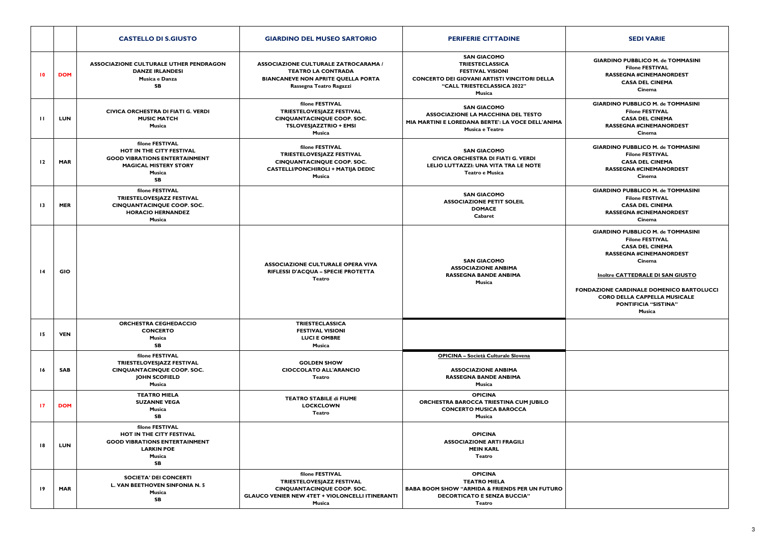# **GIARDINO PUBBLICO M. de TOMMASINIFilone FESTIVAL RASSEGNA #CINEMANORDESTCASA DEL CINEMACinemaGIARDINO PUBBLICO M. de TOMMASINI Filone FESTIVAL CASA DEL CINEMARASSEGNA #CINEMANORDEST**

**GIARDINO PUBBLICO M. de TOMMASINI Filone FESTIVAL CASA DEL CINEMA RASSEGNA #CINEMANORDESTCinema**

|                 |            | <b>CASTELLO DI S.GIUSTO</b>                                                                                                                | <b>GIARDINO DEL MUSEO SARTORIO</b>                                                                                                                    | <b>PERIFERIE CITTADINE</b>                                                                                                                                                     | <b>SEDI VARIE</b>                                                                                                                                                                                                                                              |
|-----------------|------------|--------------------------------------------------------------------------------------------------------------------------------------------|-------------------------------------------------------------------------------------------------------------------------------------------------------|--------------------------------------------------------------------------------------------------------------------------------------------------------------------------------|----------------------------------------------------------------------------------------------------------------------------------------------------------------------------------------------------------------------------------------------------------------|
| $\overline{10}$ | <b>DOM</b> | ASSOCIAZIONE CULTURALE UTHER PENDRAGON<br><b>DANZE IRLANDESI</b><br>Musica e Danza<br>SB                                                   | <b>ASSOCIAZIONE CULTURALE ZATROCARAMA /</b><br><b>TEATRO LA CONTRADA</b><br><b>BIANCANEVE NON APRITE QUELLA PORTA</b><br>Rassegna Teatro Ragazzi      | <b>SAN GIACOMO</b><br><b>TRIESTECLASSICA</b><br><b>FESTIVAL VISIONI</b><br><b>CONCERTO DEI GIOVANI ARTISTI VINCITORI DELLA</b><br>"CALL TRIESTECLASSICA 2022"<br><b>Musica</b> | <b>GIARDINO PUBBLICO M. de</b><br><b>Filone FESTIVA</b><br><b>RASSEGNA #CINEMAN</b><br><b>CASA DEL CINE</b><br>Cinema                                                                                                                                          |
| $\mathbf{H}$    | <b>LUN</b> | CIVICA ORCHESTRA DI FIATI G. VERDI<br><b>MUSIC MATCH</b><br><b>Musica</b>                                                                  | filone FESTIVAL<br>TRIESTELOVESJAZZ FESTIVAL<br><b>CINQUANTACINQUE COOP. SOC.</b><br><b>TSLOVESJAZZTRIO + EMSI</b><br><b>Musica</b>                   | <b>SAN GIACOMO</b><br><b>ASSOCIAZIONE LA MACCHINA DEL TESTO</b><br>MIA MARTINI E LOREDANA BERTE': LA VOCE DELL'ANIMA<br>Musica e Teatro                                        | <b>GIARDINO PUBBLICO M. de</b><br><b>Filone FESTIVA</b><br><b>CASA DEL CINE</b><br><b>RASSEGNA #CINEMAN</b><br>Cinema                                                                                                                                          |
| 12              | <b>MAR</b> | filone FESTIVAL<br>HOT IN THE CITY FESTIVAL<br><b>GOOD VIBRATIONS ENTERTAINMENT</b><br><b>MAGICAL MISTERY STORY</b><br>Musica<br><b>SB</b> | filone FESTIVAL<br>TRIESTELOVESJAZZ FESTIVAL<br><b>CINQUANTACINQUE COOP. SOC.</b><br><b>CASTELLI/PONCHIROLI + MATIJA DEDIC</b><br><b>Musica</b>       | <b>SAN GIACOMO</b><br><b>CIVICA ORCHESTRA DI FIATI G. VERDI</b><br>LELIO LUTTAZZI: UNA VITA TRA LE NOTE<br>Teatro e Musica                                                     | <b>GIARDINO PUBBLICO M. de</b><br><b>Filone FESTIVA</b><br><b>CASA DEL CINE</b><br><b>RASSEGNA #CINEMAN</b><br>Cinema                                                                                                                                          |
| $\overline{13}$ | <b>MER</b> | filone FESTIVAL<br>TRIESTELOVESJAZZ FESTIVAL<br><b>CINQUANTACINQUE COOP. SOC.</b><br><b>HORACIO HERNANDEZ</b><br>Musica                    |                                                                                                                                                       | <b>SAN GIACOMO</b><br><b>ASSOCIAZIONE PETIT SOLEIL</b><br><b>DOMACE</b><br>Cabaret                                                                                             | <b>GIARDINO PUBBLICO M. de</b><br><b>Filone FESTIVA</b><br><b>CASA DEL CINE</b><br><b>RASSEGNA #CINEMAN</b><br>Cinema                                                                                                                                          |
| $\overline{14}$ | <b>GIO</b> |                                                                                                                                            | <b>ASSOCIAZIONE CULTURALE OPERA VIVA</b><br>RIFLESSI D'ACQUA - SPECIE PROTETTA<br><b>Teatro</b>                                                       | <b>SAN GIACOMO</b><br><b>ASSOCIAZIONE ANBIMA</b><br><b>RASSEGNA BANDE ANBIMA</b><br>Musica                                                                                     | <b>GIARDINO PUBBLICO M. de</b><br><b>Filone FESTIVA</b><br><b>CASA DEL CINE</b><br><b>RASSEGNA #CINEMAN</b><br>Cinema<br><b>Inoltre CATTEDRALE DI S</b><br><b>FONDAZIONE CARDINALE DOME</b><br><b>CORO DELLA CAPPELLA</b><br><b>PONTIFICIA "SIST</b><br>Musica |
| 15              | <b>VEN</b> | <b>ORCHESTRA CEGHEDACCIO</b><br><b>CONCERTO</b><br>Musica<br><b>SB</b>                                                                     | <b>TRIESTECLASSICA</b><br><b>FESTIVAL VISIONI</b><br><b>LUCI E OMBRE</b><br><b>Musica</b>                                                             |                                                                                                                                                                                |                                                                                                                                                                                                                                                                |
| 16              | <b>SAB</b> | filone FESTIVAL<br>TRIESTELOVESJAZZ FESTIVAL<br><b>CINQUANTACINQUE COOP. SOC.</b><br><b>JOHN SCOFIELD</b><br>Musica                        | <b>GOLDEN SHOW</b><br><b>CIOCCOLATO ALL'ARANCIO</b><br><b>Teatro</b>                                                                                  | <b>OPICINA - Società Culturale Slovena</b><br><b>ASSOCIAZIONE ANBIMA</b><br><b>RASSEGNA BANDE ANBIMA</b><br>Musica                                                             |                                                                                                                                                                                                                                                                |
| 17              | <b>DOM</b> | <b>TEATRO MIELA</b><br><b>SUZANNE VEGA</b><br><b>Musica</b><br><b>SB</b>                                                                   | <b>TEATRO STABILE di FIUME</b><br><b>LOCKCLOWN</b><br><b>Teatro</b>                                                                                   | <b>OPICINA</b><br>ORCHESTRA BAROCCA TRIESTINA CUM JUBILO<br><b>CONCERTO MUSICA BAROCCA</b><br><b>Musica</b>                                                                    |                                                                                                                                                                                                                                                                |
| 18              | <b>LUN</b> | filone FESTIVAL<br>HOT IN THE CITY FESTIVAL<br><b>GOOD VIBRATIONS ENTERTAINMENT</b><br><b>LARKIN POE</b><br><b>Musica</b><br><b>SB</b>     |                                                                                                                                                       | <b>OPICINA</b><br><b>ASSOCIAZIONE ARTI FRAGILI</b><br><b>MEIN KARL</b><br><b>Teatro</b>                                                                                        |                                                                                                                                                                                                                                                                |
| $\overline{19}$ | <b>MAR</b> | <b>SOCIETA' DEI CONCERTI</b><br><b>L. VAN BEETHOVEN SINFONIA N. 5</b><br><b>Musica</b><br>SB                                               | filone FESTIVAL<br>TRIESTELOVESJAZZ FESTIVAL<br><b>CINQUANTACINQUE COOP. SOC.</b><br><b>GLAUCO VENIER NEW 4TET + VIOLONCELLI ITINERANTI</b><br>Musica | <b>OPICINA</b><br><b>TEATRO MIELA</b><br><b>BABA BOOM SHOW "ARMIDA &amp; FRIENDS PER UN FUTURO</b><br><b>DECORTICATO E SENZA BUCCIA"</b><br><b>Teatro</b>                      |                                                                                                                                                                                                                                                                |

**GIARDINO PUBBLICO M. de TOMMASINI Filone FESTIVAL CASA DEL CINEMA RASSEGNA #CINEMANORDESTCinema**

**GIARDINO PUBBLICO M. de TOMMASINI Filone FESTIVAL CASA DEL CINEMA RASSEGNA #CINEMANORDESTCinema**

**Inoltre CATTEDRALE DI SAN GIUSTO**

**FONDAZIONE CARDINALE DOMENICO BARTOLUCCICORO DELLA CAPPELLA MUSICALE PONTIFICIA "SISTINA"Musica**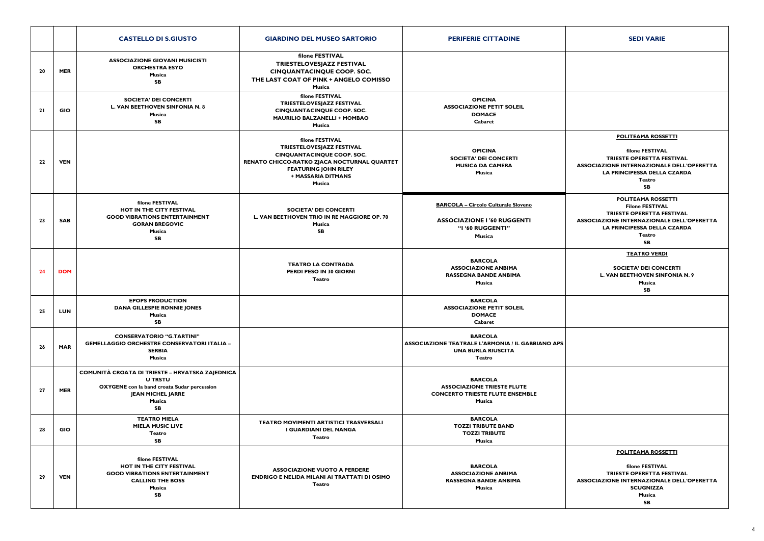|    |            | <b>CASTELLO DI S.GIUSTO</b>                                                                                                                                                | <b>GIARDINO DEL MUSEO SARTORIO</b>                                                                                                                                                              | <b>PERIFERIE CITTADINE</b>                                                                                        | <b>SEDI VARIE</b>                                                                                                                                                     |
|----|------------|----------------------------------------------------------------------------------------------------------------------------------------------------------------------------|-------------------------------------------------------------------------------------------------------------------------------------------------------------------------------------------------|-------------------------------------------------------------------------------------------------------------------|-----------------------------------------------------------------------------------------------------------------------------------------------------------------------|
| 20 | <b>MER</b> | <b>ASSOCIAZIONE GIOVANI MUSICISTI</b><br><b>ORCHESTRA ESYO</b><br>Musica<br><b>SB</b>                                                                                      | filone FESTIVAL<br>TRIESTELOVESJAZZ FESTIVAL<br><b>CINQUANTACINQUE COOP. SOC.</b><br>THE LAST COAT OF PINK + ANGELO COMISSO<br>Musica                                                           |                                                                                                                   |                                                                                                                                                                       |
| 21 | <b>GIO</b> | <b>SOCIETA' DEI CONCERTI</b><br><b>L. VAN BEETHOVEN SINFONIA N. 8</b><br>Musica<br><b>SB</b>                                                                               | filone FESTIVAL<br>TRIESTELOVESJAZZ FESTIVAL<br><b>CINQUANTACINQUE COOP. SOC.</b><br><b>MAURILIO BALZANELLI + MOMBAO</b><br>Musica                                                              | <b>OPICINA</b><br><b>ASSOCIAZIONE PETIT SOLEIL</b><br><b>DOMACE</b><br>Cabaret                                    |                                                                                                                                                                       |
| 22 | <b>VEN</b> |                                                                                                                                                                            | filone FESTIVAL<br>TRIESTELOVESJAZZ FESTIVAL<br><b>CINQUANTACINQUE COOP. SOC.</b><br>RENATO CHICCO-RATKO ZJACA NOCTURNAL QUARTET<br><b>FEATURING JOHN RILEY</b><br>+ MASSARIA DITMANS<br>Musica | <b>OPICINA</b><br><b>SOCIETA' DEI CONCERTI</b><br><b>MUSICA DA CAMERA</b><br>Musica                               | <b>POLITEAMA ROSS</b><br>filone FESTIVA<br><b>TRIESTE OPERETTA F</b><br><b>ASSOCIAZIONE INTERNAZIONA</b><br><b>LA PRINCIPESSA DELLA</b><br><b>Teatro</b><br><b>SB</b> |
| 23 | <b>SAB</b> | filone FESTIVAL<br>HOT IN THE CITY FESTIVAL<br><b>GOOD VIBRATIONS ENTERTAINMENT</b><br><b>GORAN BREGOVIC</b><br>Musica<br><b>SB</b>                                        | <b>SOCIETA' DEI CONCERTI</b><br>L. VAN BEETHOVEN TRIO IN RE MAGGIORE OP. 70<br><b>Musica</b><br>SB                                                                                              | <b>BARCOLA - Circolo Culturale Sloveno</b><br><b>ASSOCIAZIONE I '60 RUGGENTI</b><br>"I '60 RUGGENTI"<br>Musica    | <b>POLITEAMA ROSS</b><br><b>Filone FESTIVA</b><br><b>TRIESTE OPERETTA F</b><br><b>ASSOCIAZIONE INTERNAZIONA</b><br><b>LA PRINCIPESSA DELLA</b><br>Teatro<br><b>SB</b> |
| 24 | <b>DOM</b> |                                                                                                                                                                            | <b>TEATRO LA CONTRADA</b><br>PERDI PESO IN 30 GIORNI<br><b>Teatro</b>                                                                                                                           | <b>BARCOLA</b><br><b>ASSOCIAZIONE ANBIMA</b><br><b>RASSEGNA BANDE ANBIMA</b><br>Musica                            | <b>TEATRO VERD</b><br><b>SOCIETA' DEI CON</b><br><b>L. VAN BEETHOVEN SIN</b><br>Musica<br><b>SB</b>                                                                   |
| 25 | LUN        | <b>EPOPS PRODUCTION</b><br><b>DANA GILLESPIE RONNIE JONES</b><br>Musica<br>SB                                                                                              |                                                                                                                                                                                                 | <b>BARCOLA</b><br><b>ASSOCIAZIONE PETIT SOLEIL</b><br><b>DOMACE</b><br>Cabaret                                    |                                                                                                                                                                       |
| 26 | <b>MAR</b> | <b>CONSERVATORIO "G.TARTINI"</b><br><b>GEMELLAGGIO ORCHESTRE CONSERVATORI ITALIA -</b><br><b>SERBIA</b><br>Musica                                                          |                                                                                                                                                                                                 | <b>BARCOLA</b><br><b>ASSOCIAZIONE TEATRALE L'ARMONIA / IL GABBIANO APS</b><br><b>UNA BURLA RIUSCITA</b><br>Teatro |                                                                                                                                                                       |
| 27 | <b>MER</b> | COMUNITÀ CROATA DI TRIESTE - HRVATSKA ZAJEDNICA<br><b>U TRSTU</b><br><b>OXYGENE</b> con la band croata Sudar percussion<br><b>JEAN MICHEL JARRE</b><br>Musica<br><b>SB</b> |                                                                                                                                                                                                 | <b>BARCOLA</b><br><b>ASSOCIAZIONE TRIESTE FLUTE</b><br><b>CONCERTO TRIESTE FLUTE ENSEMBLE</b><br>Musica           |                                                                                                                                                                       |
| 28 | <b>GIO</b> | <b>TEATRO MIELA</b><br><b>MIELA MUSIC LIVE</b><br>Teatro<br>SB                                                                                                             | <b>TEATRO MOVIMENTI ARTISTICI TRASVERSALI</b><br>I GUARDIANI DEL NANGA<br>Teatro                                                                                                                | <b>BARCOLA</b><br><b>TOZZI TRIBUTE BAND</b><br><b>TOZZI TRIBUTE</b><br>Musica                                     |                                                                                                                                                                       |
| 29 | <b>VEN</b> | filone FESTIVAL<br><b>HOT IN THE CITY FESTIVAL</b><br><b>GOOD VIBRATIONS ENTERTAINMENT</b><br><b>CALLING THE BOSS</b><br>Musica<br><b>SB</b>                               | <b>ASSOCIAZIONE VUOTO A PERDERE</b><br><b>ENDRIGO E NELIDA MILANI AI TRATTATI DI OSIMO</b><br>Teatro                                                                                            | <b>BARCOLA</b><br><b>ASSOCIAZIONE ANBIMA</b><br><b>RASSEGNA BANDE ANBIMA</b><br>Musica                            | <b>POLITEAMA ROSS</b><br>filone FESTIVA<br><b>TRIESTE OPERETTA F</b><br><b>ASSOCIAZIONE INTERNAZIONA</b><br><b>SCUGNIZZA</b><br>Musica<br><b>SB</b>                   |

| <b>SEDI VARIE</b>                                                                                                                                              |
|----------------------------------------------------------------------------------------------------------------------------------------------------------------|
|                                                                                                                                                                |
|                                                                                                                                                                |
|                                                                                                                                                                |
|                                                                                                                                                                |
| <b>POLITEAMA ROSSETTI</b>                                                                                                                                      |
| filone FESTIVAL<br><b>TRIESTE OPERETTA FESTIVAL</b><br><b>ASSOCIAZIONE INTERNAZIONALE DELL'OPERETTA</b><br><b>LA PRINCIPESSA DELLA CZARDA</b><br>Teatro<br>SB  |
| <b>POLITEAMA ROSSETTI</b>                                                                                                                                      |
| <b>Filone FESTIVAL</b><br><b>TRIESTE OPERETTA FESTIVAL</b><br><b>ASSOCIAZIONE INTERNAZIONALE DELL'OPERETTA</b><br><b>LA PRINCIPESSA DELLA CZARDA</b><br>Teatro |
| SB                                                                                                                                                             |
| <b>TEATRO VERDI</b>                                                                                                                                            |
| <b>SOCIETA' DEI CONCERTI</b><br><b>L. VAN BEETHOVEN SINFONIA N. 9</b><br><b>Musica</b><br>SB                                                                   |
|                                                                                                                                                                |
|                                                                                                                                                                |
|                                                                                                                                                                |
|                                                                                                                                                                |
|                                                                                                                                                                |
|                                                                                                                                                                |
|                                                                                                                                                                |
|                                                                                                                                                                |
|                                                                                                                                                                |
| <b>POLITEAMA ROSSETTI</b>                                                                                                                                      |
| filone FESTIVAL<br><b>TRIESTE OPERETTA FESTIVAL</b><br><b>ASSOCIAZIONE INTERNAZIONALE DELL'OPERETTA</b><br><b>SCUGNIZZA</b>                                    |
| Musica<br><b>SB</b>                                                                                                                                            |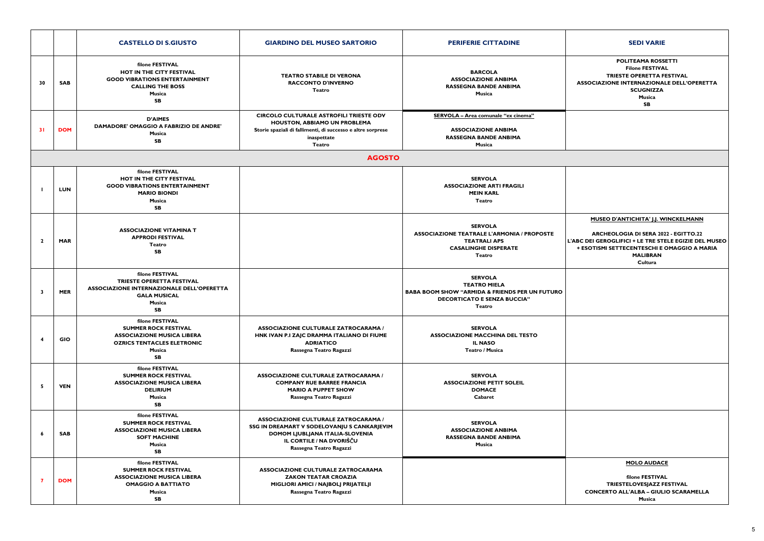#### **POLITEAMA ROSSETTIFilone FESTIVAL TRIESTE OPERETTA FESTIVAL ASSOCIAZIONE INTERNAZIONALE DELL'OPERETTASCUGNIZZAMusicaSB**

## **MUSEO D'ANTICHITA' J.J. WINCKELMANN**

## **ARCHEOLOGIA DI SERA 2022 - EGITTO.22 L'ABC DEI GEROGLIFICI + LE TRE STELE EGIZIE DEL MUSEO + ESOTISMI SETTECENTESCHI E OMAGGIO A MARIA MALIBRAN**

#### **Cultura**

|                         |            | <b>CASTELLO DI S.GIUSTO</b>                                                                                                                     | <b>GIARDINO DEL MUSEO SARTORIO</b>                                                                                                                                                   | <b>PERIFERIE CITTADINE</b>                                                                                                                         | <b>SEDI VARIE</b>                                                                                                                                                    |
|-------------------------|------------|-------------------------------------------------------------------------------------------------------------------------------------------------|--------------------------------------------------------------------------------------------------------------------------------------------------------------------------------------|----------------------------------------------------------------------------------------------------------------------------------------------------|----------------------------------------------------------------------------------------------------------------------------------------------------------------------|
| 30                      | <b>SAB</b> | filone FESTIVAL<br>HOT IN THE CITY FESTIVAL<br><b>GOOD VIBRATIONS ENTERTAINMENT</b><br><b>CALLING THE BOSS</b><br>Musica<br><b>SB</b>           | <b>TEATRO STABILE DI VERONA</b><br><b>RACCONTO D'INVERNO</b><br>Teatro                                                                                                               | <b>BARCOLA</b><br><b>ASSOCIAZIONE ANBIMA</b><br><b>RASSEGNA BANDE ANBIMA</b><br>Musica                                                             | <b>POLITEAMA ROSS</b><br><b>Filone FESTIVA</b><br><b>TRIESTE OPERETTA F</b><br><b>ASSOCIAZIONE INTERNAZIONA</b><br><b>SCUGNIZZA</b><br>Musica<br><b>SB</b>           |
| <b>31</b>               | <b>DOM</b> | <b>D'AIMES</b><br><b>DAMADORE' OMAGGIO A FABRIZIO DE ANDRE'</b><br>Musica<br><b>SB</b>                                                          | <b>CIRCOLO CULTURALE ASTROFILI TRIESTE ODV</b><br>HOUSTON, ABBIAMO UN PROBLEMA<br>Storie spaziali di fallimenti, di successo e altre sorprese<br>inaspettate<br><b>Teatro</b>        | SERVOLA - Area comunale "ex cinema"<br><b>ASSOCIAZIONE ANBIMA</b><br><b>RASSEGNA BANDE ANBIMA</b><br>Musica                                        |                                                                                                                                                                      |
|                         |            |                                                                                                                                                 | <b>AGOSTO</b>                                                                                                                                                                        |                                                                                                                                                    |                                                                                                                                                                      |
|                         | <b>LUN</b> | filone FESTIVAL<br>HOT IN THE CITY FESTIVAL<br><b>GOOD VIBRATIONS ENTERTAINMENT</b><br><b>MARIO BIONDI</b><br>Musica<br><b>SB</b>               |                                                                                                                                                                                      | <b>SERVOLA</b><br><b>ASSOCIAZIONE ARTI FRAGILI</b><br><b>MEIN KARL</b><br><b>Teatro</b>                                                            |                                                                                                                                                                      |
| $\overline{2}$          | <b>MAR</b> | <b>ASSOCIAZIONE VITAMINA T</b><br><b>APPRODI FESTIVAL</b><br>Teatro<br><b>SB</b>                                                                |                                                                                                                                                                                      | <b>SERVOLA</b><br><b>ASSOCIAZIONE TEATRALE L'ARMONIA / PROPOSTE</b><br><b>TEATRALI APS</b><br><b>CASALINGHE DISPERATE</b><br><b>Teatro</b>         | <b>MUSEO D'ANTICHITA' J.J. W</b><br><b>ARCHEOLOGIA DI SERA 202</b><br>L'ABC DEI GEROGLIFICI + LE TRE ST<br>+ ESOTISMI SETTECENTESCHI E<br><b>MALIBRAN</b><br>Cultura |
| $\overline{\mathbf{3}}$ | <b>MER</b> | filone FESTIVAL<br>TRIESTE OPERETTA FESTIVAL<br><b>ASSOCIAZIONE INTERNAZIONALE DELL'OPERETTA</b><br><b>GALA MUSICAL</b><br>Musica<br><b>SB</b>  |                                                                                                                                                                                      | <b>SERVOLA</b><br><b>TEATRO MIELA</b><br><b>BABA BOOM SHOW "ARMIDA &amp; FRIENDS PER UN FUTURO</b><br><b>DECORTICATO E SENZA BUCCIA"</b><br>Teatro |                                                                                                                                                                      |
| 4                       | GIO        | filone FESTIVAL<br><b>SUMMER ROCK FESTIVAL</b><br><b>ASSOCIAZIONE MUSICA LIBERA</b><br><b>OZRICS TENTACLES ELETRONIC</b><br>Musica<br><b>SB</b> | <b>ASSOCIAZIONE CULTURALE ZATROCARAMA /</b><br>HNK IVAN P.I ZAJC DRAMMA ITALIANO DI FIUME<br><b>ADRIATICO</b><br>Rassegna Teatro Ragazzi                                             | <b>SERVOLA</b><br><b>ASSOCIAZIONE MACCHINA DEL TESTO</b><br><b>IL NASO</b><br>Teatro / Musica                                                      |                                                                                                                                                                      |
| -5                      | <b>VEN</b> | filone FESTIVAL<br><b>SUMMER ROCK FESTIVAL</b><br><b>ASSOCIAZIONE MUSICA LIBERA</b><br><b>DELIRIUM</b><br>Musica<br><b>SB</b>                   | <b>ASSOCIAZIONE CULTURALE ZATROCARAMA /</b><br><b>COMPANY RUE BARREE FRANCIA</b><br><b>MARIO A PUPPET SHOW</b><br>Rassegna Teatro Ragazzi                                            | <b>SERVOLA</b><br><b>ASSOCIAZIONE PETIT SOLEIL</b><br><b>DOMACE</b><br>Cabaret                                                                     |                                                                                                                                                                      |
| 6                       | <b>SAB</b> | filone FESTIVAL<br><b>SUMMER ROCK FESTIVAL</b><br><b>ASSOCIAZIONE MUSICA LIBERA</b><br><b>SOFT MACHINE</b><br>Musica<br><b>SB</b>               | <b>ASSOCIAZIONE CULTURALE ZATROCARAMA /</b><br>SSG IN DREAMART V SODELOVANJU S CANKARJEVIM<br>DOMOM LJUBLJANA ITALIA-SLOVENIA<br>IL CORTILE / NA DVORIŠČU<br>Rassegna Teatro Ragazzi | <b>SERVOLA</b><br><b>ASSOCIAZIONE ANBIMA</b><br><b>RASSEGNA BANDE ANBIMA</b><br>Musica                                                             |                                                                                                                                                                      |
| - 7                     | <b>DOM</b> | filone FESTIVAL<br><b>SUMMER ROCK FESTIVAL</b><br><b>ASSOCIAZIONE MUSICA LIBERA</b><br><b>OMAGGIO A BATTIATO</b><br>Musica<br><b>SB</b>         | <b>ASSOCIAZIONE CULTURALE ZATROCARAMA</b><br><b>ZAKON TEATAR CROAZIA</b><br>MIGLIORI AMICI / NAJBOLJ PRIJATELJI<br>Rassegna Teatro Ragazzi                                           |                                                                                                                                                    | <b>MOLO AUDAC</b><br>filone FESTIVA<br><b>TRIESTELOVESJAZZ F</b><br><b>CONCERTO ALL'ALBA - GIUL</b><br>Musica                                                        |

### **MOLO AUDACE**

**filone FESTIVAL TRIESTELOVESJAZZ FESTIVAL CONCERTO ALL'ALBA – GIULIO SCARAMELLAMusica**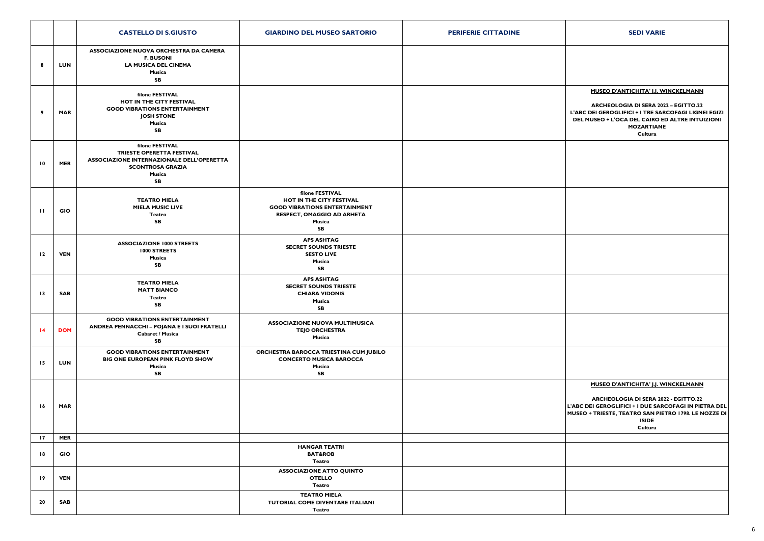|                                    |                   | <b>CASTELLO DI S.GIUSTO</b>                                                                                                                        | <b>GIARDINO DEL MUSEO SARTORIO</b>                                                                                                | <b>PERIFERIE CITTADINE</b> | <b>SEDI VARIE</b>                                                                                                                                                            |
|------------------------------------|-------------------|----------------------------------------------------------------------------------------------------------------------------------------------------|-----------------------------------------------------------------------------------------------------------------------------------|----------------------------|------------------------------------------------------------------------------------------------------------------------------------------------------------------------------|
| 8                                  | LUN               | <b>ASSOCIAZIONE NUOVA ORCHESTRA DA CAMERA</b><br><b>F. BUSONI</b><br><b>LA MUSICA DEL CINEMA</b><br>Musica<br><b>SB</b>                            |                                                                                                                                   |                            |                                                                                                                                                                              |
| 9                                  | <b>MAR</b>        | filone FESTIVAL<br>HOT IN THE CITY FESTIVAL<br><b>GOOD VIBRATIONS ENTERTAINMENT</b><br><b>JOSH STONE</b><br>Musica<br>SB                           |                                                                                                                                   |                            | <b>MUSEO D'ANTICHITA' J.J. W</b><br><b>ARCHEOLOGIA DI SERA 207</b><br>L'ABC DEI GEROGLIFICI + I TRE SAF<br>DEL MUSEO + L'OCA DEL CAIRO E<br><b>MOZARTIANE</b><br>Cultura     |
| $\overline{10}$                    | <b>MER</b>        | filone FESTIVAL<br>TRIESTE OPERETTA FESTIVAL<br><b>ASSOCIAZIONE INTERNAZIONALE DELL'OPERETTA</b><br><b>SCONTROSA GRAZIA</b><br>Musica<br><b>SB</b> |                                                                                                                                   |                            |                                                                                                                                                                              |
| $\mathbf{H}$                       | GIO               | <b>TEATRO MIELA</b><br><b>MIELA MUSIC LIVE</b><br>Teatro<br><b>SB</b>                                                                              | filone FESTIVAL<br>HOT IN THE CITY FESTIVAL<br><b>GOOD VIBRATIONS ENTERTAINMENT</b><br>RESPECT, OMAGGIO AD ARHETA<br>Musica<br>SB |                            |                                                                                                                                                                              |
| $\overline{12}$                    | <b>VEN</b>        | <b>ASSOCIAZIONE 1000 STREETS</b><br>1000 STREETS<br>Musica<br>SB                                                                                   | <b>APS ASHTAG</b><br><b>SECRET SOUNDS TRIESTE</b><br><b>SESTO LIVE</b><br>Musica<br><b>SB</b>                                     |                            |                                                                                                                                                                              |
| $\overline{13}$                    | SAB               | <b>TEATRO MIELA</b><br><b>MATT BIANCO</b><br>Teatro<br>SB                                                                                          | <b>APS ASHTAG</b><br><b>SECRET SOUNDS TRIESTE</b><br><b>CHIARA VIDONIS</b><br>Musica<br>SB                                        |                            |                                                                                                                                                                              |
| $\overline{14}$                    | <b>DOM</b>        | <b>GOOD VIBRATIONS ENTERTAINMENT</b><br>ANDREA PENNACCHI - POJANA E I SUOI FRATELLI<br><b>Cabaret / Musica</b><br>${\sf SB}$                       | <b>ASSOCIAZIONE NUOVA MULTIMUSICA</b><br><b>TEJO ORCHESTRA</b><br>Musica                                                          |                            |                                                                                                                                                                              |
| $\overline{15}$                    | <b>LUN</b>        | <b>GOOD VIBRATIONS ENTERTAINMENT</b><br>BIG ONE EUROPEAN PINK FLOYD SHOW<br>Musica<br><b>SB</b>                                                    | ORCHESTRA BAROCCA TRIESTINA CUM JUBILO<br><b>CONCERTO MUSICA BAROCCA</b><br>Musica<br><b>SB</b>                                   |                            |                                                                                                                                                                              |
| 16                                 | <b>MAR</b>        |                                                                                                                                                    |                                                                                                                                   |                            | <b>MUSEO D'ANTICHITA' J.J. W</b><br><b>ARCHEOLOGIA DI SERA 20)</b><br>L'ABC DEI GEROGLIFICI + I DUE SAR<br><b>MUSEO + TRIESTE, TEATRO SAN PIE</b><br><b>ISIDE</b><br>Cultura |
| $\overline{17}$<br>$\overline{18}$ | <b>MER</b><br>GIO |                                                                                                                                                    | <b>HANGAR TEATRI</b><br><b>BAT&amp;ROB</b><br>Teatro                                                                              |                            |                                                                                                                                                                              |
| $\overline{19}$                    | <b>VEN</b>        |                                                                                                                                                    | <b>ASSOCIAZIONE ATTO QUINTO</b><br><b>OTELLO</b><br>Teatro                                                                        |                            |                                                                                                                                                                              |
| 20                                 | SAB               |                                                                                                                                                    | <b>TEATRO MIELA</b><br>TUTORIAL COME DIVENTARE ITALIANI<br>Teatro                                                                 |                            |                                                                                                                                                                              |

| <b>SEDI VARIE</b>                                                                                                                                                                                                                     |
|---------------------------------------------------------------------------------------------------------------------------------------------------------------------------------------------------------------------------------------|
|                                                                                                                                                                                                                                       |
| <b>MUSEO D'ANTICHITA' J.J. WINCKELMANN</b><br><b>ARCHEOLOGIA DI SERA 2022 - EGITTO.22</b><br>L'ABC DEI GEROGLIFICI + I TRE SARCOFAGI LIGNEI EGIZI<br>DEL MUSEO + L'OCA DEL CAIRO ED ALTRE INTUIZIONI<br><b>MOZARTIANE</b><br>Cultura  |
|                                                                                                                                                                                                                                       |
|                                                                                                                                                                                                                                       |
|                                                                                                                                                                                                                                       |
|                                                                                                                                                                                                                                       |
|                                                                                                                                                                                                                                       |
|                                                                                                                                                                                                                                       |
| <b>MUSEO D'ANTICHITA' J.J. WINCKELMANN</b><br><b>ARCHEOLOGIA DI SERA 2022 - EGITTO.22</b><br>L'ABC DEI GEROGLIFICI + I DUE SARCOFAGI IN PIETRA DEL<br>MUSEO + TRIESTE, TEATRO SAN PIETRO 1798. LE NOZZE DI<br><b>ISIDE</b><br>Cultura |
|                                                                                                                                                                                                                                       |
|                                                                                                                                                                                                                                       |
|                                                                                                                                                                                                                                       |